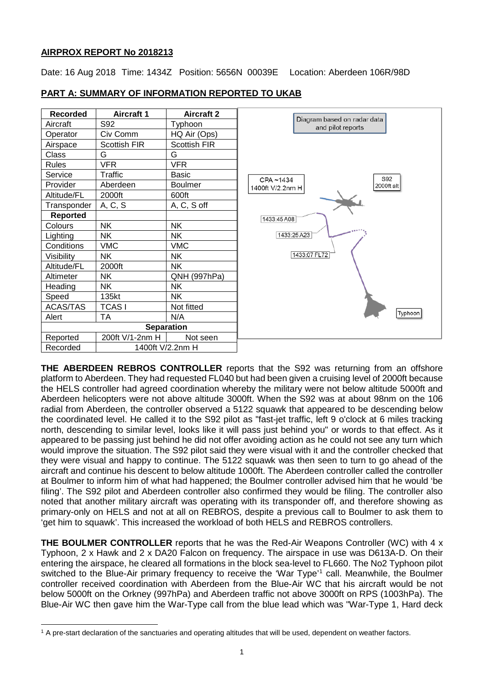# **AIRPROX REPORT No 2018213**

 $\overline{\phantom{a}}$ 

Date: 16 Aug 2018 Time: 1434Z Position: 5656N 00039E Location: Aberdeen 106R/98D

| <b>Recorded</b>   | <b>Aircraft 1</b>   | <b>Aircraft 2</b>   |                                                  |
|-------------------|---------------------|---------------------|--------------------------------------------------|
| Aircraft          | S92                 | Typhoon             | Diagram based on radar data<br>and pilot reports |
| Operator          | Civ Comm            | HQ Air (Ops)        |                                                  |
| Airspace          | <b>Scottish FIR</b> | <b>Scottish FIR</b> |                                                  |
| Class             | G                   | G                   |                                                  |
| <b>Rules</b>      | <b>VFR</b>          | <b>VFR</b>          |                                                  |
| Service           | Traffic             | <b>Basic</b>        | S92<br>CPA~1434                                  |
| Provider          | Aberdeen            | <b>Boulmer</b>      | 2000ft alt<br>1400ft V/2.2nm H                   |
| Altitude/FL       | 2000ft              | 600ft               |                                                  |
| Transponder       | A, C, S             | A, C, S off         |                                                  |
| Reported          |                     |                     | 1433:45 A08                                      |
| Colours           | <b>NK</b>           | <b>NK</b>           | 1433:25 A23                                      |
| Lighting          | <b>NK</b>           | <b>NK</b>           |                                                  |
| Conditions        | <b>VMC</b>          | <b>VMC</b>          |                                                  |
| Visibility        | <b>NK</b>           | <b>NK</b>           | 1433:07 FL72                                     |
| Altitude/FL       | 2000ft              | NΚ                  |                                                  |
| Altimeter         | <b>NK</b>           | QNH (997hPa)        |                                                  |
| Heading           | <b>NK</b>           | <b>NK</b>           |                                                  |
| Speed             | 135kt               | <b>NK</b>           |                                                  |
| <b>ACAS/TAS</b>   | <b>TCASI</b>        | Not fitted          |                                                  |
| Alert             | <b>TA</b>           | N/A                 | Typhoon                                          |
| <b>Separation</b> |                     |                     |                                                  |
| Reported          | 200ft V/1-2nm H     | Not seen            |                                                  |
| Recorded          | 1400ft V/2.2nm H    |                     |                                                  |

# **PART A: SUMMARY OF INFORMATION REPORTED TO UKAB**

**THE ABERDEEN REBROS CONTROLLER** reports that the S92 was returning from an offshore platform to Aberdeen. They had requested FL040 but had been given a cruising level of 2000ft because the HELS controller had agreed coordination whereby the military were not below altitude 5000ft and Aberdeen helicopters were not above altitude 3000ft. When the S92 was at about 98nm on the 106 radial from Aberdeen, the controller observed a 5122 squawk that appeared to be descending below the coordinated level. He called it to the S92 pilot as "fast-jet traffic, left 9 o'clock at 6 miles tracking north, descending to similar level, looks like it will pass just behind you" or words to that effect. As it appeared to be passing just behind he did not offer avoiding action as he could not see any turn which would improve the situation. The S92 pilot said they were visual with it and the controller checked that they were visual and happy to continue. The 5122 squawk was then seen to turn to go ahead of the aircraft and continue his descent to below altitude 1000ft. The Aberdeen controller called the controller at Boulmer to inform him of what had happened; the Boulmer controller advised him that he would 'be filing'. The S92 pilot and Aberdeen controller also confirmed they would be filing. The controller also noted that another military aircraft was operating with its transponder off, and therefore showing as primary-only on HELS and not at all on REBROS, despite a previous call to Boulmer to ask them to 'get him to squawk'. This increased the workload of both HELS and REBROS controllers.

**THE BOULMER CONTROLLER** reports that he was the Red-Air Weapons Controller (WC) with 4 x Typhoon, 2 x Hawk and 2 x DA20 Falcon on frequency. The airspace in use was D613A-D. On their entering the airspace, he cleared all formations in the block sea-level to FL660. The No2 Typhoon pilot switched to the Blue-Air primary frequency to receive the 'War Type' [1](#page-0-0) call. Meanwhile, the Boulmer controller received coordination with Aberdeen from the Blue-Air WC that his aircraft would be not below 5000ft on the Orkney (997hPa) and Aberdeen traffic not above 3000ft on RPS (1003hPa). The Blue-Air WC then gave him the War-Type call from the blue lead which was "War-Type 1, Hard deck

<span id="page-0-0"></span><sup>&</sup>lt;sup>1</sup> A pre-start declaration of the sanctuaries and operating altitudes that will be used, dependent on weather factors.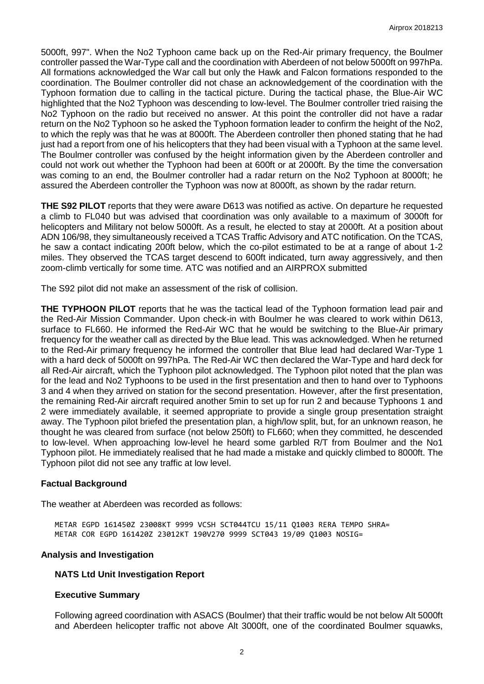5000ft, 997". When the No2 Typhoon came back up on the Red-Air primary frequency, the Boulmer controller passed the War-Type call and the coordination with Aberdeen of not below 5000ft on 997hPa. All formations acknowledged the War call but only the Hawk and Falcon formations responded to the coordination. The Boulmer controller did not chase an acknowledgement of the coordination with the Typhoon formation due to calling in the tactical picture. During the tactical phase, the Blue-Air WC highlighted that the No2 Typhoon was descending to low-level. The Boulmer controller tried raising the No2 Typhoon on the radio but received no answer. At this point the controller did not have a radar return on the No2 Typhoon so he asked the Typhoon formation leader to confirm the height of the No2, to which the reply was that he was at 8000ft. The Aberdeen controller then phoned stating that he had just had a report from one of his helicopters that they had been visual with a Typhoon at the same level. The Boulmer controller was confused by the height information given by the Aberdeen controller and could not work out whether the Typhoon had been at 600ft or at 2000ft. By the time the conversation was coming to an end, the Boulmer controller had a radar return on the No2 Typhoon at 8000ft; he assured the Aberdeen controller the Typhoon was now at 8000ft, as shown by the radar return.

**THE S92 PILOT** reports that they were aware D613 was notified as active. On departure he requested a climb to FL040 but was advised that coordination was only available to a maximum of 3000ft for helicopters and Military not below 5000ft. As a result, he elected to stay at 2000ft. At a position about ADN 106/98, they simultaneously received a TCAS Traffic Advisory and ATC notification. On the TCAS, he saw a contact indicating 200ft below, which the co-pilot estimated to be at a range of about 1-2 miles. They observed the TCAS target descend to 600ft indicated, turn away aggressively, and then zoom-climb vertically for some time. ATC was notified and an AIRPROX submitted

The S92 pilot did not make an assessment of the risk of collision.

**THE TYPHOON PILOT** reports that he was the tactical lead of the Typhoon formation lead pair and the Red-Air Mission Commander. Upon check-in with Boulmer he was cleared to work within D613, surface to FL660. He informed the Red-Air WC that he would be switching to the Blue-Air primary frequency for the weather call as directed by the Blue lead. This was acknowledged. When he returned to the Red-Air primary frequency he informed the controller that Blue lead had declared War-Type 1 with a hard deck of 5000ft on 997hPa. The Red-Air WC then declared the War-Type and hard deck for all Red-Air aircraft, which the Typhoon pilot acknowledged. The Typhoon pilot noted that the plan was for the lead and No2 Typhoons to be used in the first presentation and then to hand over to Typhoons 3 and 4 when they arrived on station for the second presentation. However, after the first presentation, the remaining Red-Air aircraft required another 5min to set up for run 2 and because Typhoons 1 and 2 were immediately available, it seemed appropriate to provide a single group presentation straight away. The Typhoon pilot briefed the presentation plan, a high/low split, but, for an unknown reason, he thought he was cleared from surface (not below 250ft) to FL660; when they committed, he descended to low-level. When approaching low-level he heard some garbled R/T from Boulmer and the No1 Typhoon pilot. He immediately realised that he had made a mistake and quickly climbed to 8000ft. The Typhoon pilot did not see any traffic at low level.

# **Factual Background**

The weather at Aberdeen was recorded as follows:

METAR EGPD 161450Z 23008KT 9999 VCSH SCT044TCU 15/11 Q1003 RERA TEMPO SHRA= METAR COR EGPD 161420Z 23012KT 190V270 9999 SCT043 19/09 Q1003 NOSIG=

# **Analysis and Investigation**

#### **NATS Ltd Unit Investigation Report**

#### **Executive Summary**

Following agreed coordination with ASACS (Boulmer) that their traffic would be not below Alt 5000ft and Aberdeen helicopter traffic not above Alt 3000ft, one of the coordinated Boulmer squawks,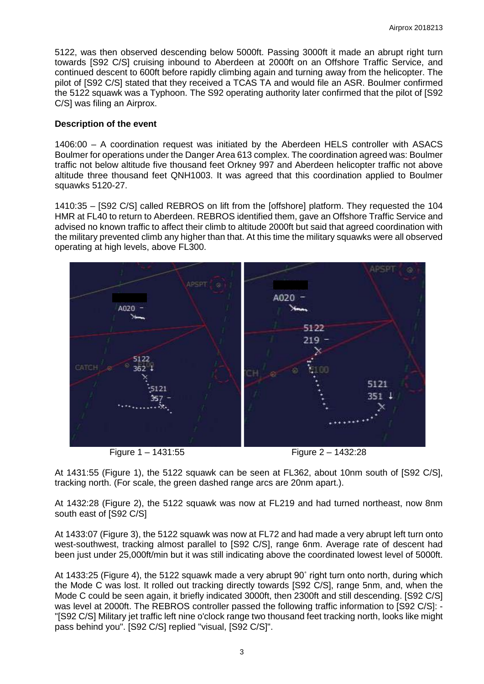5122, was then observed descending below 5000ft. Passing 3000ft it made an abrupt right turn towards [S92 C/S] cruising inbound to Aberdeen at 2000ft on an Offshore Traffic Service, and continued descent to 600ft before rapidly climbing again and turning away from the helicopter. The pilot of [S92 C/S] stated that they received a TCAS TA and would file an ASR. Boulmer confirmed the 5122 squawk was a Typhoon. The S92 operating authority later confirmed that the pilot of [S92 C/S] was filing an Airprox.

## **Description of the event**

1406:00 – A coordination request was initiated by the Aberdeen HELS controller with ASACS Boulmer for operations under the Danger Area 613 complex. The coordination agreed was: Boulmer traffic not below altitude five thousand feet Orkney 997 and Aberdeen helicopter traffic not above altitude three thousand feet QNH1003. It was agreed that this coordination applied to Boulmer squawks 5120-27.

1410:35 – [S92 C/S] called REBROS on lift from the [offshore] platform. They requested the 104 HMR at FL40 to return to Aberdeen. REBROS identified them, gave an Offshore Traffic Service and advised no known traffic to affect their climb to altitude 2000ft but said that agreed coordination with the military prevented climb any higher than that. At this time the military squawks were all observed operating at high levels, above FL300.



At 1431:55 (Figure 1), the 5122 squawk can be seen at FL362, about 10nm south of [S92 C/S], tracking north. (For scale, the green dashed range arcs are 20nm apart.).

At 1432:28 (Figure 2), the 5122 squawk was now at FL219 and had turned northeast, now 8nm south east of  $[$ S92 C/S1

At 1433:07 (Figure 3), the 5122 squawk was now at FL72 and had made a very abrupt left turn onto west-southwest, tracking almost parallel to [S92 C/S], range 6nm. Average rate of descent had been just under 25,000ft/min but it was still indicating above the coordinated lowest level of 5000ft.

At 1433:25 (Figure 4), the 5122 squawk made a very abrupt 90˚ right turn onto north, during which the Mode C was lost. It rolled out tracking directly towards [S92 C/S], range 5nm, and, when the Mode C could be seen again, it briefly indicated 3000ft, then 2300ft and still descending. [S92 C/S] was level at 2000ft. The REBROS controller passed the following traffic information to [S92 C/S]: - "[S92 C/S] Military jet traffic left nine o'clock range two thousand feet tracking north, looks like might pass behind you". [S92 C/S] replied "visual, [S92 C/S]".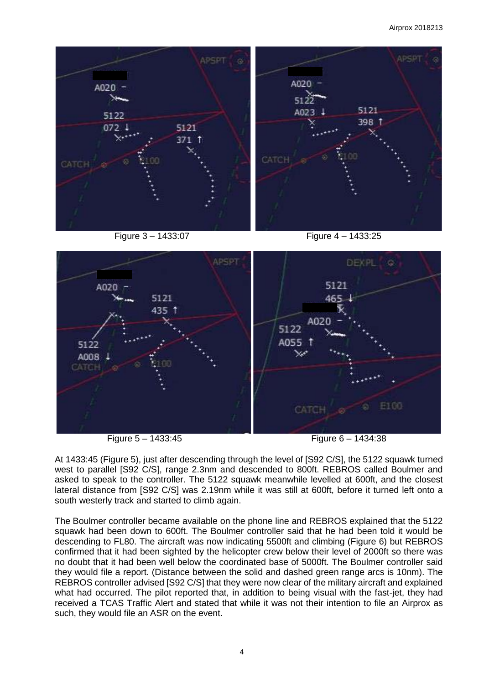#### Airprox 2018213



At 1433:45 (Figure 5), just after descending through the level of [S92 C/S], the 5122 squawk turned west to parallel [S92 C/S], range 2.3nm and descended to 800ft. REBROS called Boulmer and asked to speak to the controller. The 5122 squawk meanwhile levelled at 600ft, and the closest lateral distance from [S92 C/S] was 2.19nm while it was still at 600ft, before it turned left onto a south westerly track and started to climb again.

The Boulmer controller became available on the phone line and REBROS explained that the 5122 squawk had been down to 600ft. The Boulmer controller said that he had been told it would be descending to FL80. The aircraft was now indicating 5500ft and climbing (Figure 6) but REBROS confirmed that it had been sighted by the helicopter crew below their level of 2000ft so there was no doubt that it had been well below the coordinated base of 5000ft. The Boulmer controller said they would file a report. (Distance between the solid and dashed green range arcs is 10nm). The REBROS controller advised [S92 C/S] that they were now clear of the military aircraft and explained what had occurred. The pilot reported that, in addition to being visual with the fast-jet, they had received a TCAS Traffic Alert and stated that while it was not their intention to file an Airprox as such, they would file an ASR on the event.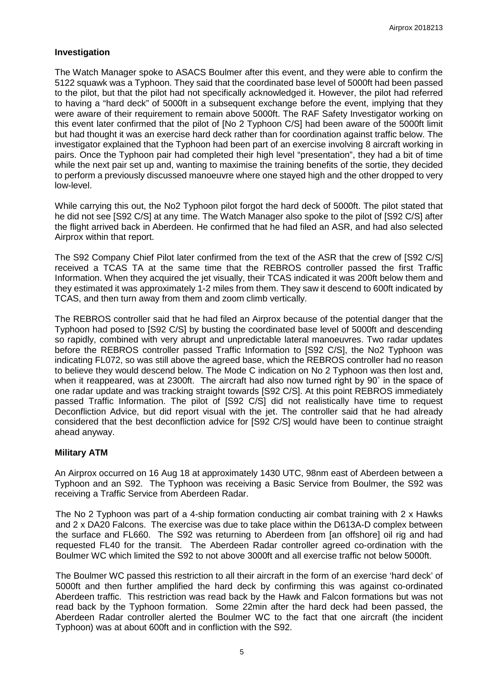## **Investigation**

The Watch Manager spoke to ASACS Boulmer after this event, and they were able to confirm the 5122 squawk was a Typhoon. They said that the coordinated base level of 5000ft had been passed to the pilot, but that the pilot had not specifically acknowledged it. However, the pilot had referred to having a "hard deck" of 5000ft in a subsequent exchange before the event, implying that they were aware of their requirement to remain above 5000ft. The RAF Safety Investigator working on this event later confirmed that the pilot of [No 2 Typhoon C/S] had been aware of the 5000ft limit but had thought it was an exercise hard deck rather than for coordination against traffic below. The investigator explained that the Typhoon had been part of an exercise involving 8 aircraft working in pairs. Once the Typhoon pair had completed their high level "presentation", they had a bit of time while the next pair set up and, wanting to maximise the training benefits of the sortie, they decided to perform a previously discussed manoeuvre where one stayed high and the other dropped to very low-level.

While carrying this out, the No2 Typhoon pilot forgot the hard deck of 5000ft. The pilot stated that he did not see [S92 C/S] at any time. The Watch Manager also spoke to the pilot of [S92 C/S] after the flight arrived back in Aberdeen. He confirmed that he had filed an ASR, and had also selected Airprox within that report.

The S92 Company Chief Pilot later confirmed from the text of the ASR that the crew of [S92 C/S] received a TCAS TA at the same time that the REBROS controller passed the first Traffic Information. When they acquired the jet visually, their TCAS indicated it was 200ft below them and they estimated it was approximately 1-2 miles from them. They saw it descend to 600ft indicated by TCAS, and then turn away from them and zoom climb vertically.

The REBROS controller said that he had filed an Airprox because of the potential danger that the Typhoon had posed to [S92 C/S] by busting the coordinated base level of 5000ft and descending so rapidly, combined with very abrupt and unpredictable lateral manoeuvres. Two radar updates before the REBROS controller passed Traffic Information to [S92 C/S], the No2 Typhoon was indicating FL072, so was still above the agreed base, which the REBROS controller had no reason to believe they would descend below. The Mode C indication on No 2 Typhoon was then lost and, when it reappeared, was at 2300ft. The aircraft had also now turned right by 90° in the space of one radar update and was tracking straight towards [S92 C/S]. At this point REBROS immediately passed Traffic Information. The pilot of [S92 C/S] did not realistically have time to request Deconfliction Advice, but did report visual with the jet. The controller said that he had already considered that the best deconfliction advice for [S92 C/S] would have been to continue straight ahead anyway.

# **Military ATM**

An Airprox occurred on 16 Aug 18 at approximately 1430 UTC, 98nm east of Aberdeen between a Typhoon and an S92. The Typhoon was receiving a Basic Service from Boulmer, the S92 was receiving a Traffic Service from Aberdeen Radar.

The No 2 Typhoon was part of a 4-ship formation conducting air combat training with 2 x Hawks and 2 x DA20 Falcons. The exercise was due to take place within the D613A-D complex between the surface and FL660. The S92 was returning to Aberdeen from [an offshore] oil rig and had requested FL40 for the transit. The Aberdeen Radar controller agreed co-ordination with the Boulmer WC which limited the S92 to not above 3000ft and all exercise traffic not below 5000ft.

The Boulmer WC passed this restriction to all their aircraft in the form of an exercise 'hard deck' of 5000ft and then further amplified the hard deck by confirming this was against co-ordinated Aberdeen traffic. This restriction was read back by the Hawk and Falcon formations but was not read back by the Typhoon formation. Some 22min after the hard deck had been passed, the Aberdeen Radar controller alerted the Boulmer WC to the fact that one aircraft (the incident Typhoon) was at about 600ft and in confliction with the S92.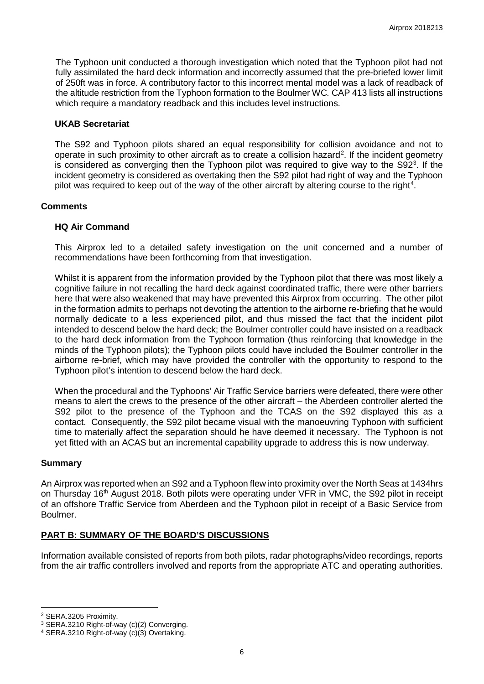The Typhoon unit conducted a thorough investigation which noted that the Typhoon pilot had not fully assimilated the hard deck information and incorrectly assumed that the pre-briefed lower limit of 250ft was in force. A contributory factor to this incorrect mental model was a lack of readback of the altitude restriction from the Typhoon formation to the Boulmer WC*.* CAP 413 lists all instructions which require a mandatory readback and this includes level instructions.

#### **UKAB Secretariat**

The S92 and Typhoon pilots shared an equal responsibility for collision avoidance and not to operate in such proximity to other aircraft as to create a collision hazard<sup>[2](#page-5-0)</sup>. If the incident geometry is considered as converging then the Typhoon pilot was required to give way to the  $S92<sup>3</sup>$ . If the incident geometry is considered as overtaking then the S92 pilot had right of way and the Typhoon pilot was required to keep out of the way of the other aircraft by altering course to the right<sup>[4](#page-5-2)</sup>.

## **Comments**

# **HQ Air Command**

This Airprox led to a detailed safety investigation on the unit concerned and a number of recommendations have been forthcoming from that investigation.

Whilst it is apparent from the information provided by the Typhoon pilot that there was most likely a cognitive failure in not recalling the hard deck against coordinated traffic, there were other barriers here that were also weakened that may have prevented this Airprox from occurring. The other pilot in the formation admits to perhaps not devoting the attention to the airborne re-briefing that he would normally dedicate to a less experienced pilot, and thus missed the fact that the incident pilot intended to descend below the hard deck; the Boulmer controller could have insisted on a readback to the hard deck information from the Typhoon formation (thus reinforcing that knowledge in the minds of the Typhoon pilots); the Typhoon pilots could have included the Boulmer controller in the airborne re-brief, which may have provided the controller with the opportunity to respond to the Typhoon pilot's intention to descend below the hard deck.

When the procedural and the Typhoons' Air Traffic Service barriers were defeated, there were other means to alert the crews to the presence of the other aircraft – the Aberdeen controller alerted the S92 pilot to the presence of the Typhoon and the TCAS on the S92 displayed this as a contact. Consequently, the S92 pilot became visual with the manoeuvring Typhoon with sufficient time to materially affect the separation should he have deemed it necessary. The Typhoon is not yet fitted with an ACAS but an incremental capability upgrade to address this is now underway.

#### **Summary**

An Airprox was reported when an S92 and a Typhoon flew into proximity over the North Seas at 1434hrs on Thursday 16<sup>th</sup> August 2018. Both pilots were operating under VFR in VMC, the S92 pilot in receipt of an offshore Traffic Service from Aberdeen and the Typhoon pilot in receipt of a Basic Service from Boulmer.

# **PART B: SUMMARY OF THE BOARD'S DISCUSSIONS**

Information available consisted of reports from both pilots, radar photographs/video recordings, reports from the air traffic controllers involved and reports from the appropriate ATC and operating authorities.

 $\overline{\phantom{a}}$ 

<span id="page-5-0"></span><sup>2</sup> SERA.3205 Proximity.

<span id="page-5-1"></span><sup>3</sup> SERA.3210 Right-of-way (c)(2) Converging.

<span id="page-5-2"></span><sup>4</sup> SERA.3210 Right-of-way (c)(3) Overtaking.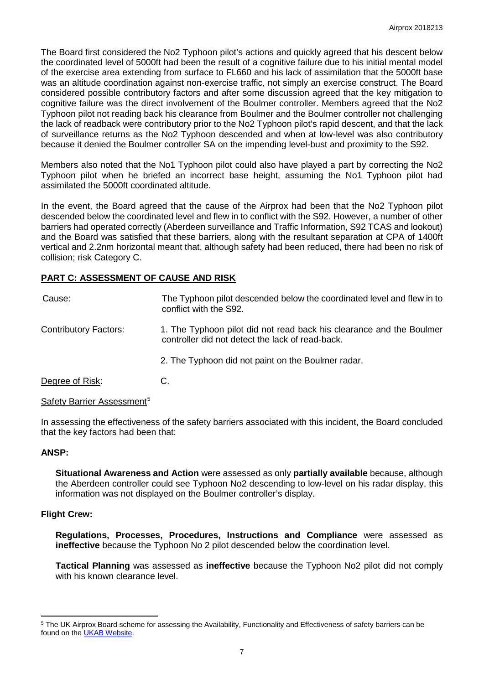The Board first considered the No2 Typhoon pilot's actions and quickly agreed that his descent below the coordinated level of 5000ft had been the result of a cognitive failure due to his initial mental model of the exercise area extending from surface to FL660 and his lack of assimilation that the 5000ft base was an altitude coordination against non-exercise traffic, not simply an exercise construct. The Board considered possible contributory factors and after some discussion agreed that the key mitigation to cognitive failure was the direct involvement of the Boulmer controller. Members agreed that the No2 Typhoon pilot not reading back his clearance from Boulmer and the Boulmer controller not challenging the lack of readback were contributory prior to the No2 Typhoon pilot's rapid descent, and that the lack of surveillance returns as the No2 Typhoon descended and when at low-level was also contributory because it denied the Boulmer controller SA on the impending level-bust and proximity to the S92.

Members also noted that the No1 Typhoon pilot could also have played a part by correcting the No2 Typhoon pilot when he briefed an incorrect base height, assuming the No1 Typhoon pilot had assimilated the 5000ft coordinated altitude.

In the event, the Board agreed that the cause of the Airprox had been that the No2 Typhoon pilot descended below the coordinated level and flew in to conflict with the S92. However, a number of other barriers had operated correctly (Aberdeen surveillance and Traffic Information, S92 TCAS and lookout) and the Board was satisfied that these barriers, along with the resultant separation at CPA of 1400ft vertical and 2.2nm horizontal meant that, although safety had been reduced, there had been no risk of collision; risk Category C.

# **PART C: ASSESSMENT OF CAUSE AND RISK**

| Cause:                       | The Typhoon pilot descended below the coordinated level and flew in to<br>conflict with the S92.                         |
|------------------------------|--------------------------------------------------------------------------------------------------------------------------|
| <b>Contributory Factors:</b> | 1. The Typhoon pilot did not read back his clearance and the Boulmer<br>controller did not detect the lack of read-back. |
|                              | 2. The Typhoon did not paint on the Boulmer radar.                                                                       |
| Degree of Risk:              | C.                                                                                                                       |

Safety Barrier Assessment<sup>[5](#page-6-0)</sup>

In assessing the effectiveness of the safety barriers associated with this incident, the Board concluded that the key factors had been that:

#### **ANSP:**

**Situational Awareness and Action** were assessed as only **partially available** because, although the Aberdeen controller could see Typhoon No2 descending to low-level on his radar display, this information was not displayed on the Boulmer controller's display.

#### **Flight Crew:**

l

**Regulations, Processes, Procedures, Instructions and Compliance** were assessed as **ineffective** because the Typhoon No 2 pilot descended below the coordination level.

**Tactical Planning** was assessed as **ineffective** because the Typhoon No2 pilot did not comply with his known clearance level.

<span id="page-6-0"></span><sup>5</sup> The UK Airprox Board scheme for assessing the Availability, Functionality and Effectiveness of safety barriers can be found on the [UKAB Website.](http://www.airproxboard.org.uk/Learn-more/Airprox-Barrier-Assessment/)